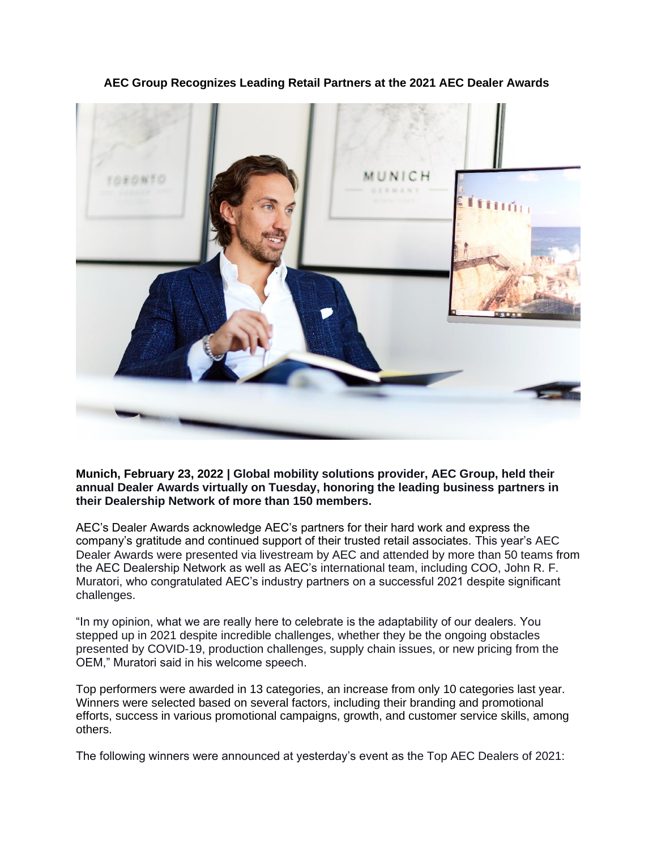

**AEC Group Recognizes Leading Retail Partners at the 2021 AEC Dealer Awards**

**Munich, February 23, 2022 | Global mobility solutions provider, AEC Group, held their annual Dealer Awards virtually on Tuesday, honoring the leading business partners in their Dealership Network of more than 150 members.**

AEC's Dealer Awards acknowledge AEC's partners for their hard work and express the company's gratitude and continued support of their trusted retail associates. This year's AEC Dealer Awards were presented via livestream by AEC and attended by more than 50 teams from the AEC Dealership Network as well as AEC's international team, including COO, John R. F. Muratori, who congratulated AEC's industry partners on a successful 2021 despite significant challenges.

"In my opinion, what we are really here to celebrate is the adaptability of our dealers. You stepped up in 2021 despite incredible challenges, whether they be the ongoing obstacles presented by COVID-19, production challenges, supply chain issues, or new pricing from the OEM," Muratori said in his welcome speech.

Top performers were awarded in 13 categories, an increase from only 10 categories last year. Winners were selected based on several factors, including their branding and promotional efforts, success in various promotional campaigns, growth, and customer service skills, among others.

The following winners were announced at yesterday's event as the Top AEC Dealers of 2021: